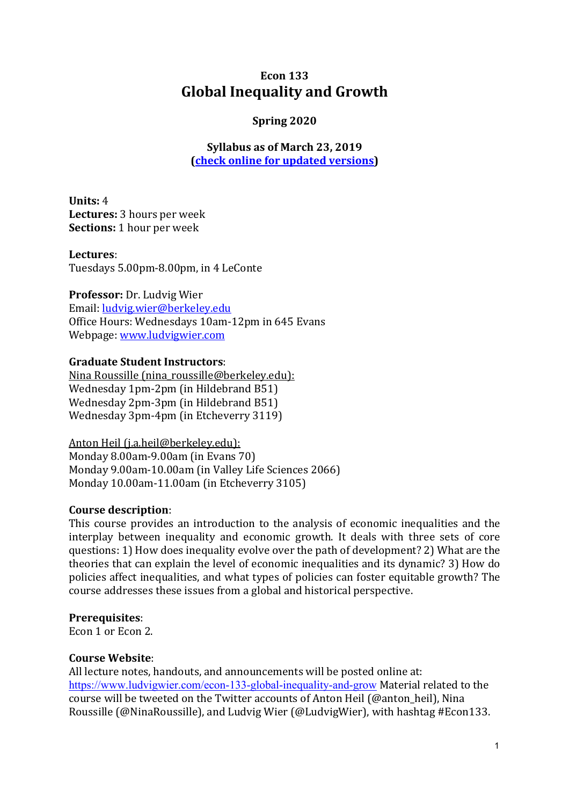# **Econ 133 Global Inequality and Growth**

## **Spring 2020**

**Syllabus** as of March 23, 2019 **(check online for updated versions)** 

**Units:** 4 Lectures: 3 hours per week **Sections:** 1 hour per week

**Lectures**: Tuesdays 5.00pm-8.00pm, in 4 LeConte

**Professor:** Dr. Ludvig Wier Email: ludvig.wier@berkeley.edu Office Hours: Wednesdays 10am-12pm in 645 Evans Webpage: www.ludvigwier.com

#### **Graduate Student Instructors:**

Nina Roussille (nina\_roussille@berkeley.edu): Wednesday 1pm-2pm (in Hildebrand B51) Wednesday 2pm-3pm (in Hildebrand B51) Wednesday 3pm-4pm (in Etcheverry 3119)

Anton Heil (j.a.heil@berkeley.edu): Monday  $8.00$ am- $9.00$ am (in Evans  $70$ ) Monday 9.00am-10.00am (in Valley Life Sciences 2066) Monday 10.00am-11.00am (in Etcheverry 3105)

#### **Course description**:

This course provides an introduction to the analysis of economic inequalities and the interplay between inequality and economic growth. It deals with three sets of core questions: 1) How does inequality evolve over the path of development? 2) What are the theories that can explain the level of economic inequalities and its dynamic? 3) How do policies affect inequalities, and what types of policies can foster equitable growth? The course addresses these issues from a global and historical perspective.

#### **Prerequisites**:

Econ 1 or Econ 2.

#### **Course Website**:

All lecture notes, handouts, and announcements will be posted online at: https://www.ludvigwier.com/econ-133-global-inequality-and-grow Material related to the course will be tweeted on the Twitter accounts of Anton Heil (@anton\_heil), Nina Roussille (@NinaRoussille), and Ludvig Wier (@LudvigWier), with hashtag #Econ133.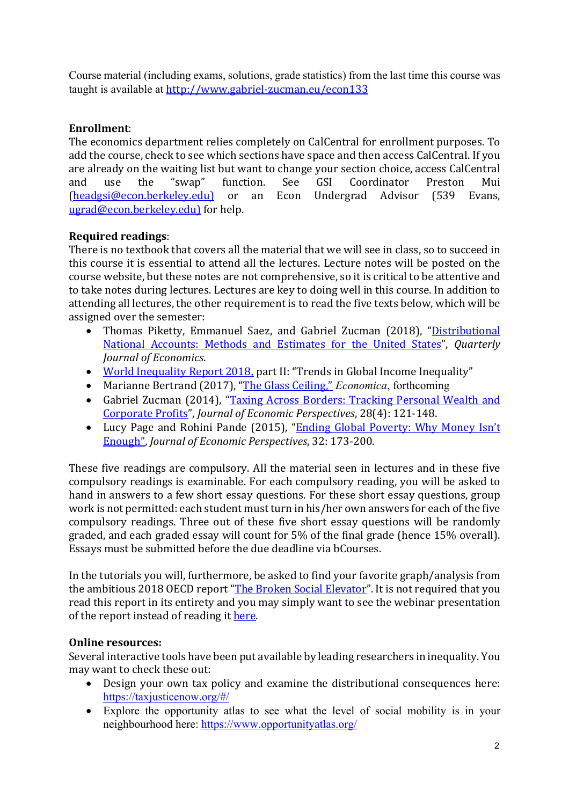Course material (including exams, solutions, grade statistics) from the last time this course was taught is available at http://www.gabriel-zucman.eu/econ133

## **Enrollment**:

The economics department relies completely on CalCentral for enrollment purposes. To add the course, check to see which sections have space and then access CalCentral. If you are already on the waiting list but want to change your section choice, access CalCentral and use the "swap" function. See GSI Coordinator Preston Mui (headgsi@econ.berkeley.edu) or an Econ Undergrad Advisor (539 Evans, ugrad@econ.berkeley.edu) for help.

## **Required readings**:

There is no textbook that covers all the material that we will see in class, so to succeed in this course it is essential to attend all the lectures. Lecture notes will be posted on the course website, but these notes are not comprehensive, so it is critical to be attentive and to take notes during lectures. Lectures are key to doing well in this course. In addition to attending all lectures, the other requirement is to read the five texts below, which will be assigned over the semester:

- Thomas Piketty, Emmanuel Saez, and Gabriel Zucman (2018), "Distributional National Accounts: Methods and Estimates for the United States", Quarterly *Journal of Economics*.
- World Inequality Report 2018, part II: "Trends in Global Income Inequality"
- Marianne Bertrand (2017), "The Glass Ceiling," *Economica*, forthcoming
- Gabriel Zucman (2014), "Taxing Across Borders: Tracking Personal Wealth and Corporate Profits", *Journal of Economic Perspectives*, 28(4): 121-148.
- Lucy Page and Rohini Pande (2015), "Ending Global Poverty: Why Money Isn't Enough", Journal of Economic Perspectives, 32: 173-200.

These five readings are compulsory. All the material seen in lectures and in these five compulsory readings is examinable. For each compulsory reading, you will be asked to hand in answers to a few short essay questions. For these short essay questions, group work is not permitted: each student must turn in his/her own answers for each of the five compulsory readings. Three out of these five short essay questions will be randomly graded, and each graded essay will count for 5% of the final grade (hence 15% overall). Essays must be submitted before the due deadline via bCourses.

In the tutorials you will, furthermore, be asked to find your favorite graph/analysis from the ambitious 2018 OECD report "The Broken Social Elevator". It is not required that you read this report in its entirety and you may simply want to see the webinar presentation of the report instead of reading it here.

## **Online resources:**

Several interactive tools have been put available by leading researchers in inequality. You may want to check these out:

- Design your own tax policy and examine the distributional consequences here: https://taxjusticenow.org/#/
- Explore the opportunity atlas to see what the level of social mobility is in your neighbourhood here: https://www.opportunityatlas.org/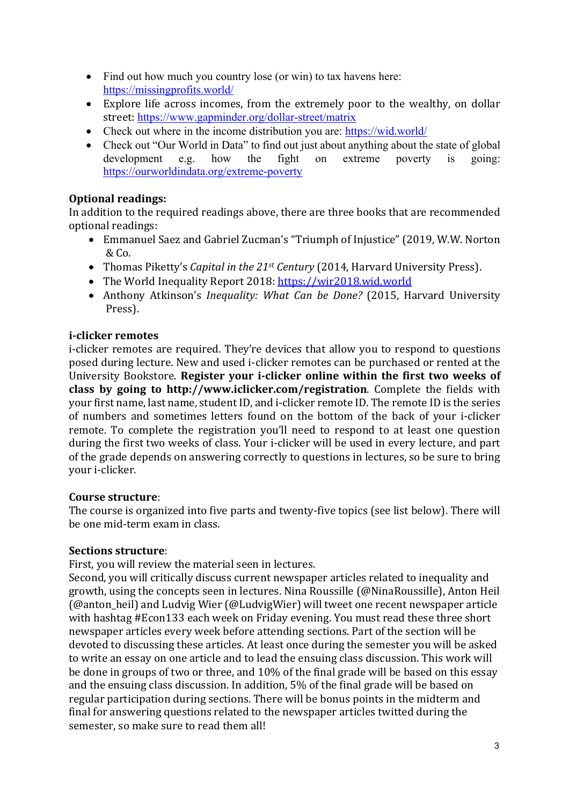- Find out how much you country lose (or win) to tax havens here: https://missingprofits.world/
- Explore life across incomes, from the extremely poor to the wealthy, on dollar street: https://www.gapminder.org/dollar-street/matrix
- Check out where in the income distribution you are: https://wid.world/
- Check out "Our World in Data" to find out just about anything about the state of global development e.g. how the fight on extreme poverty is going: https://ourworldindata.org/extreme-poverty

## **Optional readings:**

In addition to the required readings above, there are three books that are recommended optional readings:

- Emmanuel Saez and Gabriel Zucman's "Triumph of Injustice" (2019, W.W. Norton  $&Co.$
- Thomas Piketty's *Capital in the 21<sup>st</sup> Century* (2014, Harvard University Press).
- The World Inequality Report 2018: https://wir2018.wid.world
- Anthony Atkinson's *Inequality: What Can be Done?* (2015, Harvard University Press).

## **i-clicker remotes**

i-clicker remotes are required. They're devices that allow you to respond to questions posed during lecture. New and used i-clicker remotes can be purchased or rented at the University Bookstore. Register your i-clicker online within the first two weeks of **class** by going to http://www.iclicker.com/registration. Complete the fields with your first name, last name, student ID, and i-clicker remote ID. The remote ID is the series of numbers and sometimes letters found on the bottom of the back of your i-clicker remote. To complete the registration you'll need to respond to at least one question during the first two weeks of class. Your i-clicker will be used in every lecture, and part of the grade depends on answering correctly to questions in lectures, so be sure to bring vour i-clicker.

## **Course structure**:

The course is organized into five parts and twenty-five topics (see list below). There will be one mid-term exam in class.

## **Sections structure**:

First, you will review the material seen in lectures.

Second, you will critically discuss current newspaper articles related to inequality and growth, using the concepts seen in lectures. Nina Roussille (@NinaRoussille), Anton Heil (@anton\_heil) and Ludvig Wier (@LudvigWier) will tweet one recent newspaper article with hashtag #Econ133 each week on Friday evening. You must read these three short newspaper articles every week before attending sections. Part of the section will be devoted to discussing these articles. At least once during the semester you will be asked to write an essay on one article and to lead the ensuing class discussion. This work will be done in groups of two or three, and  $10\%$  of the final grade will be based on this essay and the ensuing class discussion. In addition, 5% of the final grade will be based on regular participation during sections. There will be bonus points in the midterm and final for answering questions related to the newspaper articles twitted during the semester, so make sure to read them all!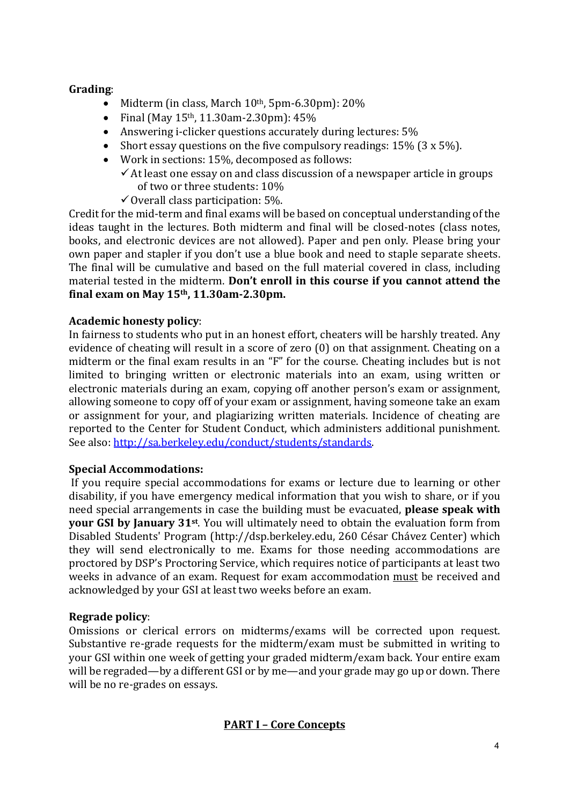## **Grading**:

- Midterm (in class, March  $10^{th}$ , 5pm-6.30pm):  $20\%$
- Final (May  $15<sup>th</sup>$ , 11.30am-2.30pm):  $45%$
- Answering i-clicker questions accurately during lectures:  $5\%$
- Short essay questions on the five compulsory readings:  $15\%$  (3 x  $5\%$ ).
- Work in sections:  $15%$ , decomposed as follows:
	- $\checkmark$  At least one essay on and class discussion of a newspaper article in groups of two or three students: 10%
	- $\checkmark$  Overall class participation: 5%.

Credit for the mid-term and final exams will be based on conceptual understanding of the ideas taught in the lectures. Both midterm and final will be closed-notes (class notes, books, and electronic devices are not allowed). Paper and pen only. Please bring your own paper and stapler if you don't use a blue book and need to staple separate sheets. The final will be cumulative and based on the full material covered in class, including material tested in the midterm. Don't enroll in this course if you cannot attend the **final exam on May 15th, 11.30am-2.30pm.**

#### **Academic honesty policy**:

In fairness to students who put in an honest effort, cheaters will be harshly treated. Any evidence of cheating will result in a score of zero (0) on that assignment. Cheating on a midterm or the final exam results in an "F" for the course. Cheating includes but is not limited to bringing written or electronic materials into an exam, using written or electronic materials during an exam, copying off another person's exam or assignment. allowing someone to copy off of your exam or assignment, having someone take an exam or assignment for your, and plagiarizing written materials. Incidence of cheating are reported to the Center for Student Conduct, which administers additional punishment. See also: http://sa.berkeley.edu/conduct/students/standards.

#### **Special Accommodations:**

If you require special accommodations for exams or lecture due to learning or other disability, if you have emergency medical information that you wish to share, or if you need special arrangements in case the building must be evacuated, **please speak with your GSI by January 31st.** You will ultimately need to obtain the evaluation form from Disabled Students' Program (http://dsp.berkeley.edu, 260 César Chávez Center) which they will send electronically to me. Exams for those needing accommodations are proctored by DSP's Proctoring Service, which requires notice of participants at least two weeks in advance of an exam. Request for exam accommodation must be received and acknowledged by your GSI at least two weeks before an exam.

#### **Regrade policy:**

Omissions or clerical errors on midterms/exams will be corrected upon request. Substantive re-grade requests for the midterm/exam must be submitted in writing to your GSI within one week of getting your graded midterm/exam back. Your entire exam will be regraded—by a different GSI or by me—and your grade may go up or down. There will be no re-grades on essays.

## **PART I – Core Concepts**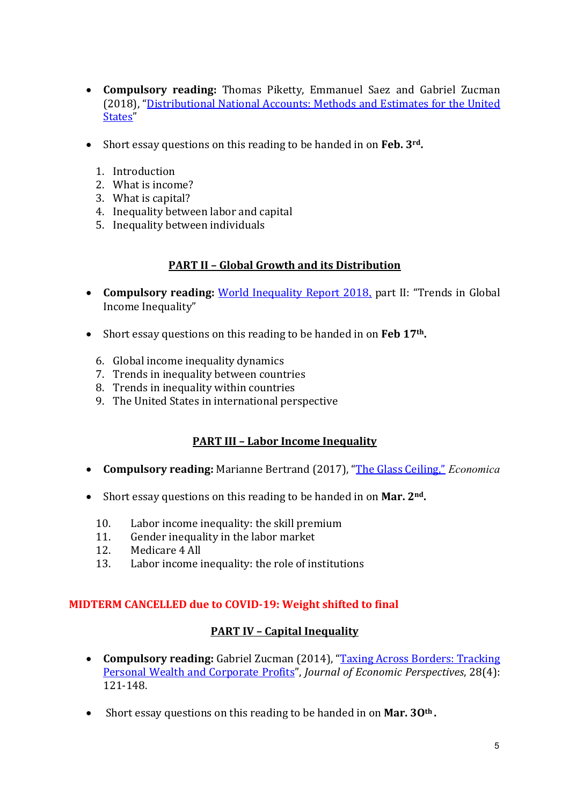- **Compulsory reading:** Thomas Piketty, Emmanuel Saez and Gabriel Zucman (2018), "Distributional National Accounts: Methods and Estimates for the United States"
- Short essay questions on this reading to be handed in on **Feb.** 3<sup>rd</sup>.
	- 1. Introduction
	- 2. What is income?
	- 3. What is capital?
	- 4. Inequality between labor and capital
	- 5. Inequality between individuals

#### **PART II – Global Growth and its Distribution**

- **Compulsory reading:** World Inequality Report 2018, part II: "Trends in Global Income Inequality"
- Short essay questions on this reading to be handed in on Feb 17<sup>th</sup>.
	- 6. Global income inequality dynamics
	- 7. Trends in inequality between countries
	- 8. Trends in inequality within countries
	- 9. The United States in international perspective

## **PART III - Labor Income Inequality**

- **Compulsory reading:** Marianne Bertrand (2017), "The Glass Ceiling," *Economica*
- Short essay questions on this reading to be handed in on Mar. 2<sup>nd</sup>.
	- 10. Labor income inequality: the skill premium
	- 11. Gender inequality in the labor market
	- 12. Medicare 4 All
	- 13. Labor income inequality: the role of institutions

#### **MIDTERM CANCELLED due to COVID-19: Weight shifted to final**

#### **PART IV - Capital Inequality**

- **Compulsory reading:** Gabriel Zucman (2014), "Taxing Across Borders: Tracking Personal Wealth and Corporate Profits", Journal of Economic Perspectives, 28(4): 121-148.
- Short essay questions on this reading to be handed in on **Mar. 30<sup>th</sup>** .